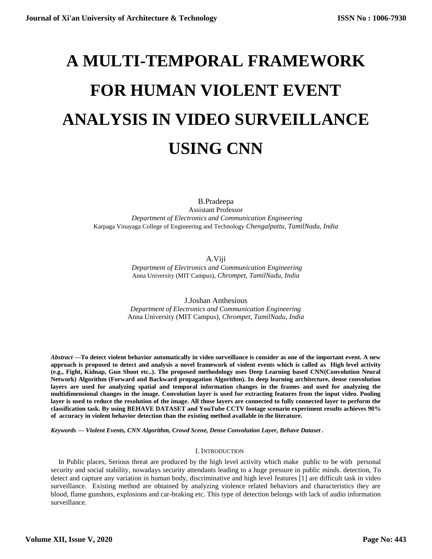# **A MULTI-TEMPORAL FRAMEWORK FOR HUMAN VIOLENT EVENT ANALYSIS IN VIDEO SURVEILLANCE USING CNN**

B.Pradeepa Assistant Professor  *Department of Electronics and Communication Engineering* Karpaga Vinayaga College of Engineering and Technology *Chengalpattu, TamilNadu, India*

A.Viji

 *Department of Electronics and Communication Engineering* Anna University (MIT Campus)*, Chrompet, TamilNadu, India*

J.Joshan Anthesious *Department of Electronics and Communication Engineering* Anna University (MIT Campus)*, Chrompet, TamilNadu, India*

*Abstract —***To detect violent behavior automatically in video surveillance is consider as one of the important event. A new approach is proposed to detect and analysis a novel framework of violent events which is called as High level activity (e.g., Fight, Kidnap, Gun Shoot etc..). The proposed methodology uses Deep Learning based CNN(Convolution Neural Network) Algorithm (Forward and Backward propagation Algorithm). In deep learning architecture, dense convolution layers are used for analyzing spatial and temporal information changes in the frames and used for analyzing the multidimensional changes in the image. Convolution layer is used for extracting features from the input video. Pooling layer is used to reduce the resolution of the image. All those layers are connected to fully connected layer to perform the classification task. By using BEHAVE DATASET and YouTube CCTV footage scenario experiment results achieves 90% of accuracy in violent behavior detection than the existing method available in the literature.**

*Keywords — Violent Events, CNN Algorithm, Crowd Scene, Dense Convolution Layer, Behave Dataset .*

# I. INTRODUCTION

In Public places, Serious threat are produced by the high level activity which make public to be with personal security and social stability, nowadays security attendants leading to a huge pressure in public minds. detection, To detect and capture any variation in human body, discriminative and high level features [1] are difficult task in video surveillance. Existing method are obtained by analyzing violence related behaviors and characteristics they are blood, flame gunshots, explosions and car-braking etc. This type of detection belongs with lack of audio information surveillance.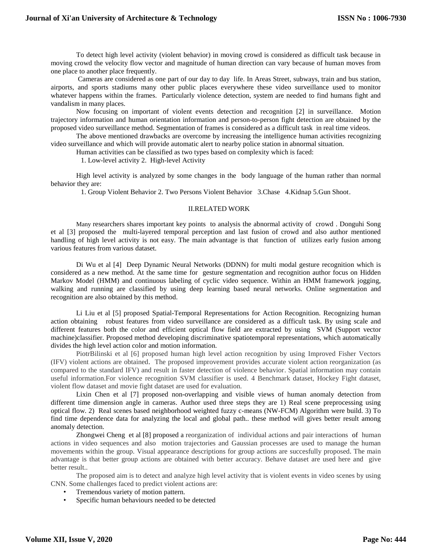To detect high level activity (violent behavior) in moving crowd is considered as difficult task because in moving crowd the velocity flow vector and magnitude of human direction can vary because of human moves from one place to another place frequently.

Cameras are considered as one part of our day to day life. In Areas Street, subways, train and bus station, airports, and sports stadiums many other public places everywhere these video surveillance used to monitor whatever happens within the frames. Particularly violence detection, system are needed to find humans fight and vandalism in many places.

Now focusing on important of violent events detection and recognition [2] in surveillance. Motion trajectory information and human orientation information and person-to-person fight detection are obtained by the proposed video surveillance method. Segmentation of frames is considered as a difficult task in real time videos.

The above mentioned drawbacks are overcome by increasing the intelligence human activities recognizing video surveillance and which will provide automatic alert to nearby police station in abnormal situation.

Human activities can be classified as two types based on complexity which is faced:

1. Low-level activity 2. High-level Activity

High level activity is analyzed by some changes in the body language of the human rather than normal behavior they are:

1. Group Violent Behavior 2. Two Persons Violent Behavior 3.Chase 4.Kidnap 5.Gun Shoot.

## II.RELATED WORK

Many researchers shares important key points to analysis the abnormal activity of crowd . Donguhi Song et al [3] proposed the multi-layered temporal perception and last fusion of crowd and also author mentioned handling of high level activity is not easy. The main advantage is that function of utilizes early fusion among various features from various dataset.

Di Wu et al [4] Deep Dynamic Neural Networks (DDNN) for multi modal gesture recognition which is considered as a new method. At the same time for gesture segmentation and recognition author focus on Hidden Markov Model (HMM) and continuous labeling of cyclic video sequence. Within an HMM framework jogging, walking and running are classified by using deep learning based neural networks. Online segmentation and recognition are also obtained by this method.

Li Liu et al [5] proposed Spatial-Temporal Representations for Action Recognition. Recognizing human action obtaining robust features from video surveillance are considered as a difficult task. By using scale and different features both the color and efficient optical flow field are extracted by using SVM (Support vector machine)classifier. Proposed method developing discriminative spatiotemporal representations, which automatically divides the high level action color and motion information.

PiotrBilinski et al [6] proposed human high level action recognition by using Improved Fisher Vectors (IFV) violent actions are obtained. The proposed improvement provides accurate violent action reorganization (as compared to the standard IFV) and result in faster detection of violence behavior. Spatial information may contain useful information.For violence recognition SVM classifier is used. 4 Benchmark dataset, Hockey Fight dataset, violent flow dataset and movie fight dataset are used for evaluation.

Lixin Chen et al [7] proposed non-overlapping and visible views of human anomaly detection from different time dimension angle in cameras. Author used three steps they are 1) Real scene preprocessing using optical flow. 2) Real scenes based neighborhood weighted fuzzy c-means (NW-FCM) Algorithm were build. 3) To find time dependence data for analyzing the local and global path.. these method will gives better result among anomaly detection.

Zhongwei Cheng et al [8] proposed a reorganization of individual actions and pair interactions of human actions in video sequences and also motion trajectories and Gaussian processes are used to manage the human movements within the group. Visual appearance descriptions for group actions are succesfully proposed. The main advantage is that better group actions are obtained with better accuracy. Behave dataset are used here and give better result..

The proposed aim is to detect and analyze high level activity that is violent events in video scenes by using CNN. Some challenges faced to predict violent actions are:

- Tremendous variety of motion pattern.
- Specific human behaviours needed to be detected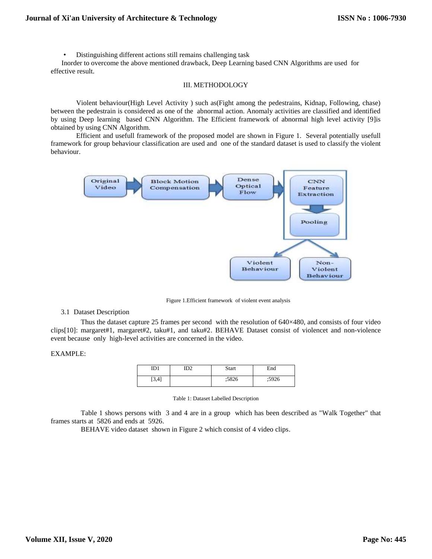• Distinguishing different actions still remains challenging task

 Inorder to overcome the above mentioned drawback, Deep Learning based CNN Algorithms are used for effective result.

## III. METHODOLOGY

Violent behaviour(High Level Activity ) such as(Fight among the pedestrains, Kidnap, Following, chase) between the pedestrain is considered as one of the abnormal action. Anomaly activities are classified and identified by using Deep learning based CNN Algorithm. The Efficient framework of abnormal high level activity [9]is obtained by using CNN Algorithm.

Efficient and usefull framework of the proposed model are shown in Figure 1. Several potentially usefull framework for group behaviour classification are used and one of the standard dataset is used to classify the violent behaviour.



Figure 1.Efficient framework of violent event analysis

# 3.1 Dataset Description

Thus the dataset capture 25 frames per second with the resolution of 640×480, and consists of four video clips[10]: margaret#1, margaret#2, taku#1, and taku#2. BEHAVE Dataset consist of violencet and non-violence event because only high-level activities are concerned in the video.

# EXAMPLE:

| ID1   | ID2 | Start | End   |
|-------|-----|-------|-------|
| [3.4] |     | :5826 | ;5926 |

Table 1 shows persons with 3 and 4 are in a group which has been described as "Walk Together" that frames starts at 5826 and ends at 5926.

BEHAVE video dataset shown in Figure 2 which consist of 4 video clips.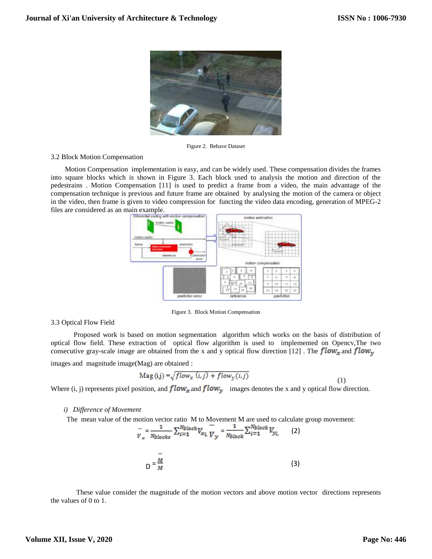

Figure 2. Behave Dataset

## 3.2 Block Motion Compensation

 Motion Compensation implementation is easy, and can be widely used. These compensation divides the frames into square blocks which is shown in Figure 3. Each block used to analysis the motion and direction of the pedestrains . Motion Compensation [11] is used to predict a frame from a video, the main advantage of the compensation technique is previous and future frame are obtained by analysing the motion of the camera or object in the video, then frame is given to video compression for functing the video data encoding, generation of MPEG-2 files are considered as an main example.



Figure 3. Block Motion Compensation

#### 3.3 Optical Flow Field

 Proposed work is based on motion segmentation algorithm which works on the basis of distribution of optical flow field. These extraction of optical flow algorithm is used to implemented on Opencv,The two consecutive gray-scale image are obtained from the x and y optical flow direction [12]. The  $flow_x$  and  $flow_y$ 

images and magnitude image(Mag) are obtained :

$$
Mag(i,j) = \sqrt{flow_x(i,j) + flow_y(i,j)}
$$
\n(1)

Where (i, j) represents pixel position, and  $flow_x$  and  $flow_y$  images denotes the x and y optical flow direction.

#### *i) Difference of Movement*

The mean value of the motion vector ratio M to Movement M are used to calculate group movement:



These value consider the magnitude of the motion vectors and above motion vector directions represents the values of 0 to 1.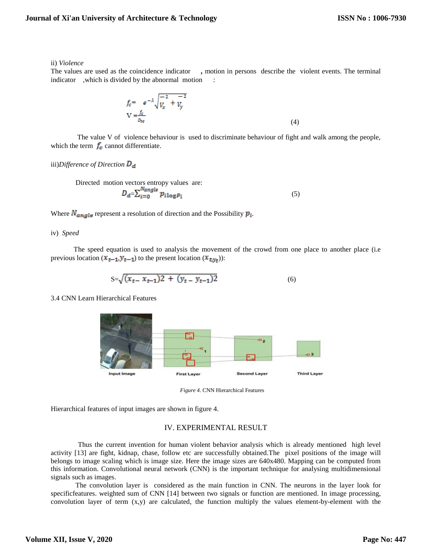#### ii) *Violence*

The values are used as the coincidence indicator **,** motion in persons describe the violent events. The terminal indicator , which is divided by the abnormal motion :

$$
f_c = e^{-\lambda} \sqrt{\frac{-2}{V_x} + \frac{-2}{V_y}}
$$
  
\n
$$
V = \frac{f_c}{v_M}
$$
 (4)

 The value V of violence behaviour is used to discriminate behaviour of fight and walk among the people, which the term  $f_c$  cannot differentiate.

iii)*Difference of Direction* 

 Directed motion vectors entropy values are:  $D_d = \sum_{i=0}^{n} p_{i \log p_i}$  (5)

Where  $N_{angle}$  represent a resolution of direction and the Possibility  $p_i$ .

## iv) *Speed*

 The speed equation is used to analysis the movement of the crowd from one place to another place (i.e previous location  $(x_{t-1}, y_{t-1})$  to the present location  $(x_{t,y_t})$ :

$$
S = \sqrt{(x_{t-} x_{t-1})^2 + (y_{t-} y_{t-1})^2}
$$
 (6)

3.4 CNN Learn Hierarchical Features



*Figure 4.* CNN Hierarchical Features

Hierarchical features of input images are shown in figure 4.

# IV. EXPERIMENTAL RESULT

Thus the current invention for human violent behavior analysis which is already mentioned high level activity [13] are fight, kidnap, chase, follow etc are successfully obtained.The pixel positions of the image will belongs to image scaling which is image size. Here the image sizes are 640x480. Mapping can be computed from this information. Convolutional neural network (CNN) is the important technique for analysing multidimensional signals such as images.

 The convolution layer is considered as the main function in CNN. The neurons in the layer look for specificfeatures. weighted sum of CNN [14] between two signals or function are mentioned. In image processing, convolution layer of term (x,y) are calculated, the function multiply the values element-by-element with the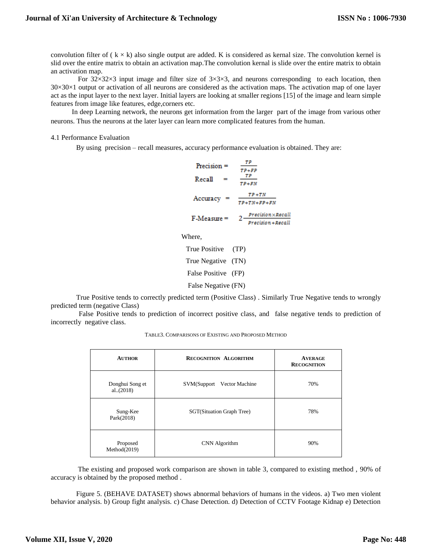convolution filter of  $(k \times k)$  also single output are added. K is considered as kernal size. The convolution kernel is slid over the entire matrix to obtain an activation map.The convolution kernal is slide over the entire matrix to obtain an activation map.

For  $32\times32\times3$  input image and filter size of  $3\times3\times3$ , and neurons corresponding to each location, then  $30\times30\times1$  output or activation of all neurons are considered as the activation maps. The activation map of one layer act as the input layer to the next layer. Initial layers are looking at smaller regions [15] of the image and learn simple features from image like features, edge,corners etc.

 In deep Learning network, the neurons get information from the larger part of the image from various other neurons. Thus the neurons at the later layer can learn more complicated features from the human.

## 4.1 Performance Evaluation

By using precision – recall measures, accuracy performance evaluation is obtained. They are:

$$
Precision = \frac{TP}{TP + FP}
$$
  
Recall = 
$$
\frac{TP}{TP + FN}
$$
  
Accuracy = 
$$
\frac{TP + TN}{TP + TN + FP + FN}
$$
  
F-Measure = 
$$
2 \frac{Precision \times Recall}{Precision + Recall}
$$

Where,

True Positive (TP) True Negative (TN) False Positive (FP) False Negative (FN)

True Positive tends to correctly predicted term (Positive Class) . Similarly True Negative tends to wrongly predicted term (negative Class)

False Positive tends to prediction of incorrect positive class, and false negative tends to prediction of incorrectly negative class.

| <b>AUTHOR</b>                 | <b>RECOGNITION ALGORITHM</b> | <b>AVERAGE</b><br><b>RECOGNITION</b> |
|-------------------------------|------------------------------|--------------------------------------|
| Donghui Song et<br>al. (2018) | SVM(Support Vector Machine   | 70%                                  |
| Sung-Kee<br>Park $(2018)$     | SGT(Situation Graph Tree)    | 78%                                  |
| Proposed<br>Method(2019)      | CNN Algorithm                | 90%                                  |

The existing and proposed work comparison are shown in table 3, compared to existing method , 90% of accuracy is obtained by the proposed method .

Figure 5. (BEHAVE DATASET) shows abnormal behaviors of humans in the videos. a) Two men violent behavior analysis. b) Group fight analysis. c) Chase Detection. d) Detection of CCTV Footage Kidnap e) Detection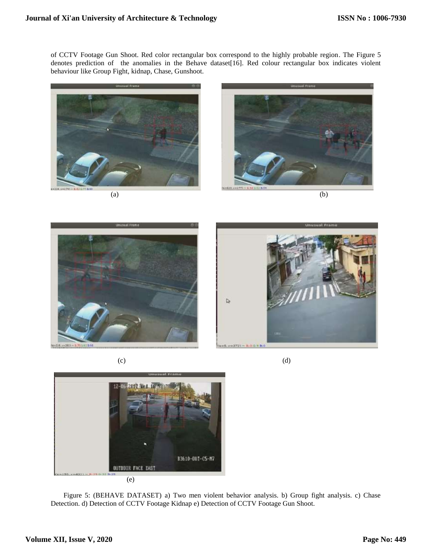of CCTV Footage Gun Shoot. Red color rectangular box correspond to the highly probable region. The Figure 5 denotes prediction of the anomalies in the Behave dataset [16]. Red colour rectangular box indicates violent behaviour like Group Fight, kidnap, Chase, Gunshoot.











 $(c)$  (c)



Figure 5: (BEHAVE DATASET) a) Two men violent behavior analysis. b) Group fight analysis. c) Chase Detection. d) Detection of CCTV Footage Kidnap e) Detection of CCTV Footage Gun Shoot.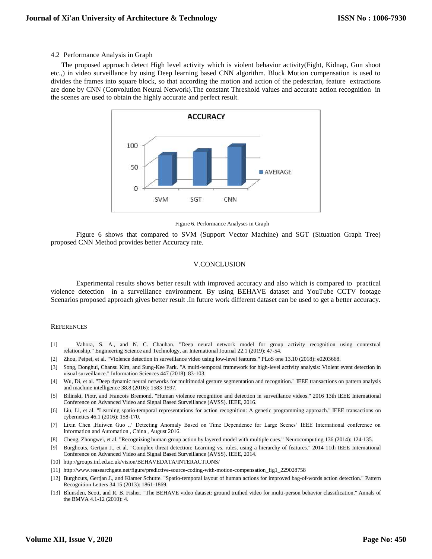#### 4.2 Performance Analysis in Graph

 The proposed approach detect High level activity which is violent behavior activity(Fight, Kidnap, Gun shoot etc.,) in video surveillance by using Deep learning based CNN algorithm. Block Motion compensation is used to divides the frames into square block, so that according the motion and action of the pedestrian, feature extractions are done by CNN (Convolution Neural Network).The constant Threshold values and accurate action recognition in the scenes are used to obtain the highly accurate and perfect result.



Figure 6. Performance Analyses in Graph

Figure 6 shows that compared to SVM (Support Vector Machine) and SGT (Situation Graph Tree) proposed CNN Method provides better Accuracy rate.

## V.CONCLUSION

Experimental results shows better result with improved accuracy and also which is compared to practical violence detection in a surveillance environment. By using BEHAVE dataset and YouTube CCTV footage Scenarios proposed approach gives better result .In future work different dataset can be used to get a better accuracy.

#### **REFERENCES**

- [1] Vahora, S. A., and N. C. Chauhan. "Deep neural network model for group activity recognition using contextual relationship." Engineering Science and Technology, an International Journal 22.1 (2019): 47-54.
- [2] Zhou, Peipei, et al. "Violence detection in surveillance video using low-level features." PLoS one 13.10 (2018): e0203668.
- [3] Song, Donghui, Chansu Kim, and Sung-Kee Park. "A multi-temporal framework for high-level activity analysis: Violent event detection in visual surveillance." Information Sciences 447 (2018): 83-103.
- [4] Wu, Di, et al. "Deep dynamic neural networks for multimodal gesture segmentation and recognition." IEEE transactions on pattern analysis and machine intelligence 38.8 (2016): 1583-1597.
- [5] Bilinski, Piotr, and Francois Bremond. "Human violence recognition and detection in surveillance videos." 2016 13th IEEE International Conference on Advanced Video and Signal Based Surveillance (AVSS). IEEE, 2016.
- [6] Liu, Li, et al. "Learning spatio-temporal representations for action recognition: A genetic programming approach." IEEE transactions on cybernetics 46.1 (2016): 158-170.
- [7] Lixin Chen ,Huiwen Guo .,' Detecting Anomaly Based on Time Dependence for Large Scenes' IEEE International conference on Information and Automation , China , August 2016.
- [8] Cheng, Zhongwei, et al. "Recognizing human group action by layered model with multiple cues." Neurocomputing 136 (2014): 124-135.
- [9] Burghouts, Gertjan J., et al. "Complex threat detection: Learning vs. rules, using a hierarchy of features." 2014 11th IEEE International Conference on Advanced Video and Signal Based Surveillance (AVSS). IEEE, 2014.
- [10] http://groups.inf.ed.ac.uk/vision/BEHAVEDATA/INTERACTIONS/
- [11] http://www.reasearchgate.net/figure/predictive-source-coding-with-motion-compensation\_fig1\_229028758
- [12] Burghouts, Gertjan J., and Klamer Schutte. "Spatio-temporal layout of human actions for improved bag-of-words action detection." Pattern Recognition Letters 34.15 (2013): 1861-1869.
- [13] Blunsden, Scott, and R. B. Fisher. "The BEHAVE video dataset: ground truthed video for multi-person behavior classification." Annals of the BMVA 4.1-12 (2010): 4.